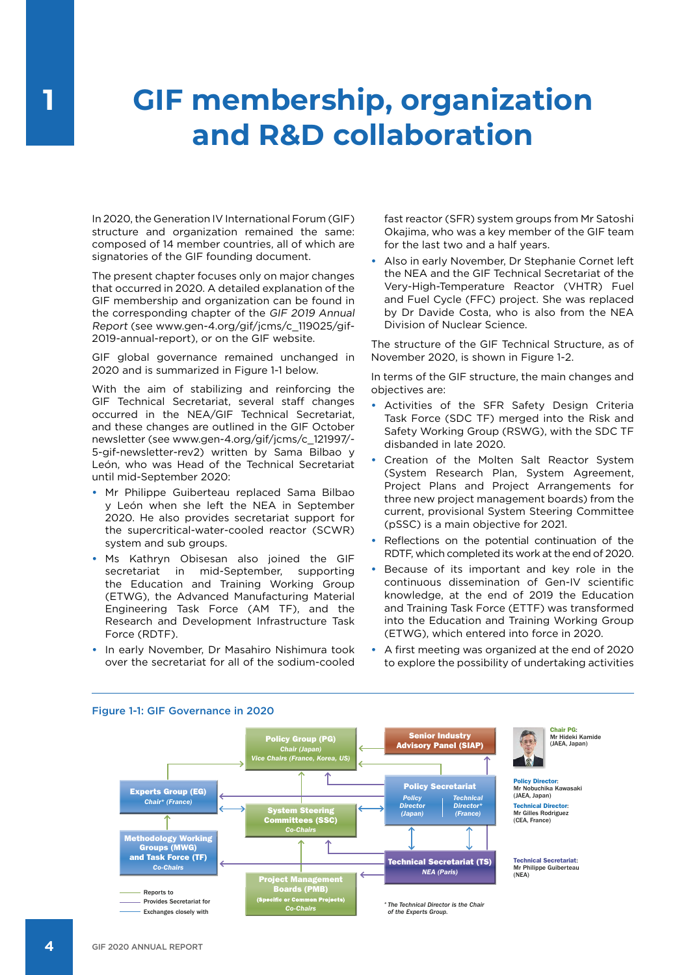## **GIF membership, organization and R&D collaboration**

In 2020, the Generation IV International Forum (GIF) structure and organization remained the same: composed of 14 member countries, all of which are signatories of the GIF founding document.

The present chapter focuses only on major changes that occurred in 2020. A detailed explanation of the GIF membership and organization can be found in the corresponding chapter of the GIF 2019 Annual Report (see www.gen-4.org/gif/jcms/c\_119025/gif-2019-annual-report), or on the GIF website.

GIF global governance remained unchanged in 2020 and is summarized in Figure 1-1 below.

With the aim of stabilizing and reinforcing the GIF Technical Secretariat, several staff changes occurred in the NEA/GIF Technical Secretariat, and these changes are outlined in the GIF October newsletter (see www.gen-4.org/gif/jcms/c\_121997/- 5-gif-newsletter-rev2) written by Sama Bilbao y León, who was Head of the Technical Secretariat until mid-September 2020:

- **•** Mr Philippe Guiberteau replaced Sama Bilbao y León when she left the NEA in September 2020. He also provides secretariat support for the supercritical-water-cooled reactor (SCWR) system and sub groups.
- **•** Ms Kathryn Obisesan also joined the GIF secretariat in mid-September, supporting the Education and Training Working Group (ETWG), the Advanced Manufacturing Material Engineering Task Force (AM TF), and the Research and Development Infrastructure Task Force (RDTF).
- **•** In early November, Dr Masahiro Nishimura took over the secretariat for all of the sodium-cooled

fast reactor (SFR) system groups from Mr Satoshi Okajima, who was a key member of the GIF team for the last two and a half years.

**•** Also in early November, Dr Stephanie Cornet left the NEA and the GIF Technical Secretariat of the Very-High-Temperature Reactor (VHTR) Fuel and Fuel Cycle (FFC) project. She was replaced by Dr Davide Costa, who is also from the NEA Division of Nuclear Science.

The structure of the GIF Technical Structure, as of November 2020, is shown in Figure 1-2.

In terms of the GIF structure, the main changes and objectives are:

- **•** Activities of the SFR Safety Design Criteria Task Force (SDC TF) merged into the Risk and Safety Working Group (RSWG), with the SDC TF disbanded in late 2020.
- **•** Creation of the Molten Salt Reactor System (System Research Plan, System Agreement, Project Plans and Project Arrangements for three new project management boards) from the current, provisional System Steering Committee (pSSC) is a main objective for 2021.
- **•** Reflections on the potential continuation of the RDTF, which completed its work at the end of 2020.
- **•** Because of its important and key role in the continuous dissemination of Gen-IV scientific knowledge, at the end of 2019 the Education and Training Task Force (ETTF) was transformed into the Education and Training Working Group (ETWG), which entered into force in 2020.
- **•** A first meeting was organized at the end of 2020 to explore the possibility of undertaking activities



## Figure 1-1: GIF Governance in 2020